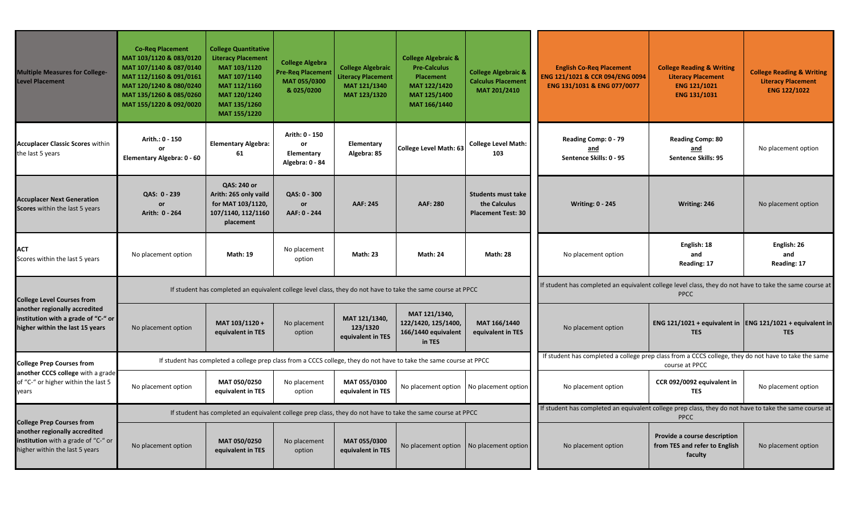| <b>Multiple Measures for College-</b><br><b>Level Placement</b>                                                                              | <b>Co-Req Placement</b><br>MAT 103/1120 & 083/0120<br>MAT 107/1140 & 087/0140<br>MAT 112/1160 & 091/0161<br>MAT 120/1240 & 080/0240<br>MAT 135/1260 & 085/0260<br>MAT 155/1220 & 092/0020 | <b>College Quantitative</b><br><b>Literacy Placement</b><br>MAT 103/1120<br>MAT 107/1140<br>MAT 112/1160<br>MAT 120/1240<br>MAT 135/1260<br>MAT 155/1220 | <b>College Algebra</b><br><b>Pre-Req Placement</b><br>MAT 055/0300<br>& 025/0200 | <b>College Algebraic</b><br><b>Literacy Placement</b><br>MAT 121/1340<br>MAT 123/1320 | <b>College Algebraic &amp;</b><br><b>Pre-Calculus</b><br><b>Placement</b><br>MAT 122/1420<br>MAT 125/1400<br>MAT 166/1440 | <b>College Algebraic &amp;</b><br><b>Calculus Placement</b><br>MAT 201/2410 | <b>English Co-Req Placement</b><br>ENG 121/1021 & CCR 094/ENG 0094<br>ENG 131/1031 & ENG 077/0077                      | <b>College Reading &amp; Writing</b><br><b>Literacy Placement</b><br><b>ENG 121/1021</b><br>ENG 131/1031 | <b>College Reading &amp; Writing</b><br><b>Literacy Placement</b><br><b>ENG 122/1022</b> |  |
|----------------------------------------------------------------------------------------------------------------------------------------------|-------------------------------------------------------------------------------------------------------------------------------------------------------------------------------------------|----------------------------------------------------------------------------------------------------------------------------------------------------------|----------------------------------------------------------------------------------|---------------------------------------------------------------------------------------|---------------------------------------------------------------------------------------------------------------------------|-----------------------------------------------------------------------------|------------------------------------------------------------------------------------------------------------------------|----------------------------------------------------------------------------------------------------------|------------------------------------------------------------------------------------------|--|
| <b>Accuplacer Classic Scores within</b><br>the last 5 years                                                                                  | Arith.: 0 - 150<br>$\Omega$<br>Elementary Algebra: 0 - 60                                                                                                                                 | <b>Elementary Algebra:</b><br>61                                                                                                                         | Arith: 0 - 150<br>or<br>Elementary<br>Algebra: 0 - 84                            | Elementary<br>Algebra: 85                                                             | <b>College Level Math: 63</b>                                                                                             | <b>College Level Math:</b><br>103                                           | Reading Comp: 0 - 79<br>and<br>Sentence Skills: 0 - 95                                                                 | <b>Reading Comp: 80</b><br>and<br><b>Sentence Skills: 95</b>                                             | No placement option                                                                      |  |
| <b>Accuplacer Next Generation</b><br>Scores within the last 5 years                                                                          | QAS: 0 - 239<br>or<br>Arith: 0 - 264                                                                                                                                                      | QAS: 240 or<br>Arith: 265 only vaild<br>for MAT 103/1120,<br>107/1140, 112/1160<br>placement                                                             | QAS: 0 - 300<br>or<br>AAF: 0 - 244                                               | AAF: 245                                                                              | <b>AAF: 280</b>                                                                                                           | <b>Students must take</b><br>the Calculus<br><b>Placement Test: 30</b>      | <b>Writing: 0 - 245</b>                                                                                                | Writing: 246                                                                                             | No placement option                                                                      |  |
| <b>ACT</b><br>Scores within the last 5 years                                                                                                 | No placement option                                                                                                                                                                       | <b>Math: 19</b>                                                                                                                                          | No placement<br>option                                                           | <b>Math: 23</b>                                                                       | <b>Math: 24</b>                                                                                                           | <b>Math: 28</b>                                                             | No placement option                                                                                                    | English: 18<br>and<br>Reading: 17                                                                        | English: 26<br>and<br>Reading: 17                                                        |  |
| <b>College Level Courses from</b><br>another regionally accredited<br>institution with a grade of "C-" or<br>higher within the last 15 years | If student has completed an equivalent college level class, they do not have to take the same course at PPCC                                                                              |                                                                                                                                                          |                                                                                  |                                                                                       |                                                                                                                           |                                                                             | If student has completed an equivalent college level class, they do not have to take the same course at<br><b>PPCC</b> |                                                                                                          |                                                                                          |  |
|                                                                                                                                              | No placement option                                                                                                                                                                       | MAT 103/1120+<br>equivalent in TES                                                                                                                       | No placement<br>option                                                           | MAT 121/1340,<br>123/1320<br>equivalent in TES                                        | MAT 121/1340,<br>122/1420, 125/1400,<br>166/1440 equivalent<br>in TES                                                     | MAT 166/1440<br>equivalent in TES                                           | No placement option                                                                                                    | ENG 121/1021 + equivalent in  ENG 121/1021 + equivalent in<br><b>TES</b>                                 | <b>TES</b>                                                                               |  |
| <b>College Prep Courses from</b><br>another CCCS college with a grade<br>of "C-" or higher within the last 5<br>years                        |                                                                                                                                                                                           | If student has completed a college prep class from a CCCS college, they do not have to take the same course at PPCC                                      |                                                                                  |                                                                                       | If student has completed a college prep class from a CCCS college, they do not have to take the same<br>course at PPCC    |                                                                             |                                                                                                                        |                                                                                                          |                                                                                          |  |
|                                                                                                                                              | No placement option                                                                                                                                                                       | MAT 050/0250<br>equivalent in TES                                                                                                                        | No placement<br>option                                                           | MAT 055/0300<br>equivalent in TES                                                     | No placement option                                                                                                       | No placement option                                                         | No placement option                                                                                                    | CCR 092/0092 equivalent in<br><b>TES</b>                                                                 | No placement option                                                                      |  |
| <b>College Prep Courses from</b><br>another regionally accredited<br>institution with a grade of "C-" or<br>higher within the last 5 years   | If student has completed an equivalent college prep class, they do not have to take the same course at PPCC                                                                               |                                                                                                                                                          |                                                                                  |                                                                                       |                                                                                                                           |                                                                             | If student has completed an equivalent college prep class, they do not have to take the same course at<br><b>PPCC</b>  |                                                                                                          |                                                                                          |  |
|                                                                                                                                              | No placement option                                                                                                                                                                       | MAT 050/0250<br>equivalent in TES                                                                                                                        | No placement<br>option                                                           | MAT 055/0300<br>equivalent in TES                                                     | No placement option   No placement option                                                                                 |                                                                             | No placement option                                                                                                    | Provide a course description<br>from TES and refer to English<br>faculty                                 | No placement option                                                                      |  |